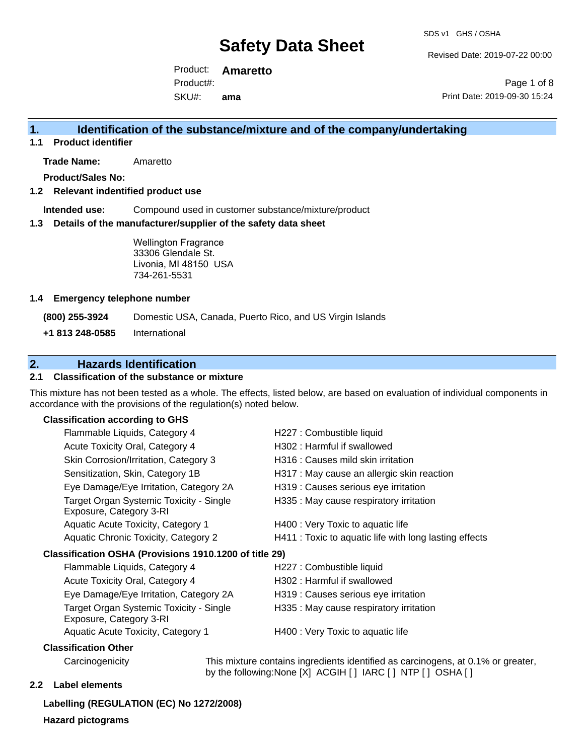Revised Date: 2019-07-22 00:00

Product: **Amaretto**  SKU#: Product#: **ama**

Page 1 of 8 Print Date: 2019-09-30 15:24

### **1. Identification of the substance/mixture and of the company/undertaking**

**1.1 Product identifier**

**Trade Name:** Amaretto

**Product/Sales No:**

#### **1.2 Relevant indentified product use**

**Intended use:** Compound used in customer substance/mixture/product

#### **1.3 Details of the manufacturer/supplier of the safety data sheet**

Wellington Fragrance 33306 Glendale St. Livonia, MI 48150 USA 734-261-5531

#### **1.4 Emergency telephone number**

**(800) 255-3924** Domestic USA, Canada, Puerto Rico, and US Virgin Islands

**+1 813 248-0585** International

## **2. Hazards Identification**

### **2.1 Classification of the substance or mixture**

This mixture has not been tested as a whole. The effects, listed below, are based on evaluation of individual components in accordance with the provisions of the regulation(s) noted below.

#### **Classification according to GHS**

| Flammable Liquids, Category 4                                      | H227 : Combustible liquid                              |
|--------------------------------------------------------------------|--------------------------------------------------------|
| Acute Toxicity Oral, Category 4                                    | H302 : Harmful if swallowed                            |
| Skin Corrosion/Irritation, Category 3                              | H316 : Causes mild skin irritation                     |
| Sensitization, Skin, Category 1B                                   | H317 : May cause an allergic skin reaction             |
| Eye Damage/Eye Irritation, Category 2A                             | H319 : Causes serious eye irritation                   |
| Target Organ Systemic Toxicity - Single<br>Exposure, Category 3-RI | H335 : May cause respiratory irritation                |
| Aquatic Acute Toxicity, Category 1                                 | H400 : Very Toxic to aquatic life                      |
| Aquatic Chronic Toxicity, Category 2                               | H411 : Toxic to aquatic life with long lasting effects |
|                                                                    |                                                        |
| Flammable Liquids, Category 4                                      | H227 : Combustible liquid                              |
| Acute Toxicity Oral, Category 4                                    | H302 : Harmful if swallowed                            |
| Eye Damage/Eye Irritation, Category 2A                             | H319 : Causes serious eye irritation                   |
| Target Organ Systemic Toxicity - Single<br>Exposure, Category 3-RI | H335 : May cause respiratory irritation                |
| Aquatic Acute Toxicity, Category 1                                 | H400 : Very Toxic to aquatic life                      |
|                                                                    | Classification OSHA (Provisions 1910.1200 of title 29) |

#### **Classification Other**

Carcinogenicity This mixture contains ingredients identified as carcinogens, at 0.1% or greater, by the following:None [X] ACGIH [ ] IARC [ ] NTP [ ] OSHA [ ]

#### **2.2 Label elements**

**Labelling (REGULATION (EC) No 1272/2008) Hazard pictograms**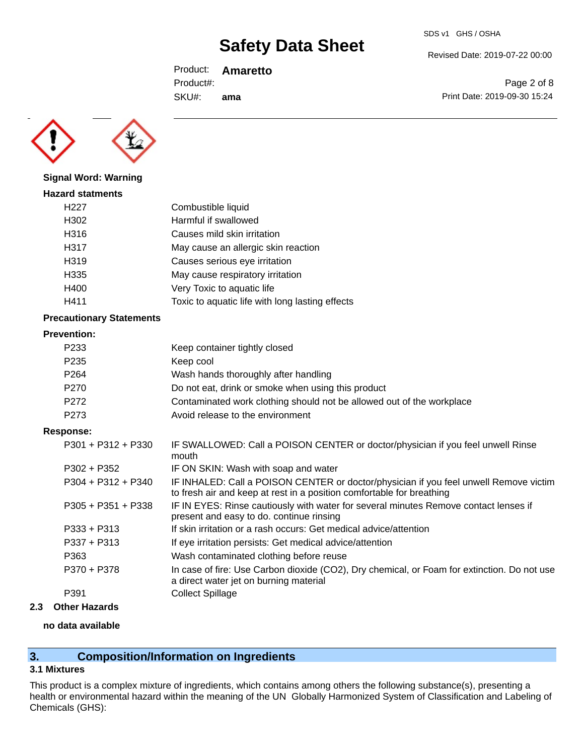SDS v1 GHS / OSHA

Revised Date: 2019-07-22 00:00

Print Date: 2019-09-30 15:24

Page 2 of 8

Product: **Amaretto**  Product#:

SKU#: **ama**



#### **Signal Word: Warning**

| <b>Hazard statments</b> |                                                 |
|-------------------------|-------------------------------------------------|
| H <sub>22</sub> 7       | Combustible liquid                              |
| H302                    | Harmful if swallowed                            |
| H316                    | Causes mild skin irritation                     |
| H317                    | May cause an allergic skin reaction             |
| H319                    | Causes serious eye irritation                   |
| H335                    | May cause respiratory irritation                |
| H400                    | Very Toxic to aquatic life                      |
| H411                    | Toxic to aquatic life with long lasting effects |
|                         |                                                 |

#### **Precautionary Statements**

#### **Prevention:**

| P <sub>233</sub> | Keep container tightly closed                                         |
|------------------|-----------------------------------------------------------------------|
| P <sub>235</sub> | Keep cool                                                             |
| P <sub>264</sub> | Wash hands thoroughly after handling                                  |
| P <sub>270</sub> | Do not eat, drink or smoke when using this product                    |
| P <sub>272</sub> | Contaminated work clothing should not be allowed out of the workplace |
| P <sub>273</sub> | Avoid release to the environment                                      |

### **Response:**

| סטווטט.              |                                                                                                                                                                |
|----------------------|----------------------------------------------------------------------------------------------------------------------------------------------------------------|
| $P301 + P312 + P330$ | IF SWALLOWED: Call a POISON CENTER or doctor/physician if you feel unwell Rinse<br>mouth                                                                       |
| $P302 + P352$        | IF ON SKIN: Wash with soap and water                                                                                                                           |
| $P304 + P312 + P340$ | IF INHALED: Call a POISON CENTER or doctor/physician if you feel unwell Remove victim<br>to fresh air and keep at rest in a position comfortable for breathing |
| $P305 + P351 + P338$ | IF IN EYES: Rinse cautiously with water for several minutes Remove contact lenses if<br>present and easy to do. continue rinsing                               |
| $P333 + P313$        | If skin irritation or a rash occurs: Get medical advice/attention                                                                                              |
| $P337 + P313$        | If eye irritation persists: Get medical advice/attention                                                                                                       |
| P363                 | Wash contaminated clothing before reuse                                                                                                                        |
| P370 + P378          | In case of fire: Use Carbon dioxide (CO2), Dry chemical, or Foam for extinction. Do not use<br>a direct water jet on burning material                          |
| P391                 | <b>Collect Spillage</b>                                                                                                                                        |

### **2.3 Other Hazards**

### **no data available**

# **3. Composition/Information on Ingredients**

### **3.1 Mixtures**

This product is a complex mixture of ingredients, which contains among others the following substance(s), presenting a health or environmental hazard within the meaning of the UN Globally Harmonized System of Classification and Labeling of Chemicals (GHS):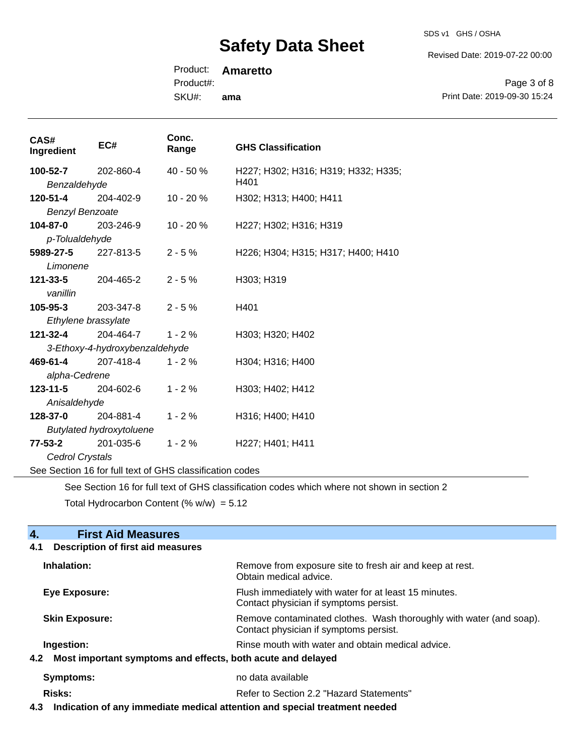SDS v1 GHS / OSHA

Revised Date: 2019-07-22 00:00

Product: **Amaretto** 

Product#:

SKU#: **ama**

Page 3 of 8 Print Date: 2019-09-30 15:24

| CAS#<br>Ingredient                                       | EC#                            | Conc.<br>Range | <b>GHS Classification</b>                   |
|----------------------------------------------------------|--------------------------------|----------------|---------------------------------------------|
| 100-52-7<br>Benzaldehyde                                 | 202-860-4                      | 40 - 50 %      | H227; H302; H316; H319; H332; H335;<br>H401 |
| 120-51-4<br><b>Benzyl Benzoate</b>                       | 204-402-9                      | 10 - 20 %      | H302; H313; H400; H411                      |
| 104-87-0<br>p-Tolualdehyde                               | 203-246-9                      | 10 - 20 %      | H227; H302; H316; H319                      |
| 5989-27-5<br>Limonene                                    | 227-813-5                      | $2 - 5%$       | H226; H304; H315; H317; H400; H410          |
| $121 - 33 - 5$<br>vanillin                               | 204-465-2                      | $2 - 5%$       | H303; H319                                  |
| $105 - 95 - 3$                                           | 203-347-8                      | $2 - 5%$       | H401                                        |
| Ethylene brassylate<br>121-32-4                          | 204-464-7                      | $1 - 2%$       | H303; H320; H402                            |
|                                                          | 3-Ethoxy-4-hydroxybenzaldehyde |                |                                             |
| 469-61-4                                                 | 207-418-4                      | $1 - 2%$       | H304; H316; H400                            |
| alpha-Cedrene                                            |                                |                |                                             |
| 123-11-5                                                 | 204-602-6                      | $1 - 2%$       | H303; H402; H412                            |
| Anisaldehyde                                             |                                |                |                                             |
| 128-37-0                                                 | 204-881-4                      | $1 - 2%$       | H316; H400; H410                            |
| <b>Butylated hydroxytoluene</b>                          |                                |                |                                             |
| $77 - 53 - 2$                                            | 201-035-6                      | $1 - 2%$       | H227; H401; H411                            |
| Cedrol Crystals                                          |                                |                |                                             |
| See Section 16 for full text of GHS classification codes |                                |                |                                             |

See Section 16 for full text of GHS classification codes which where not shown in section 2

Total Hydrocarbon Content (%  $w/w$ ) = 5.12

**4. First Aid Measures** 

| <b>Description of first aid measures</b><br>4.1                 |                                                                                                               |  |
|-----------------------------------------------------------------|---------------------------------------------------------------------------------------------------------------|--|
| Inhalation:                                                     | Remove from exposure site to fresh air and keep at rest.<br>Obtain medical advice.                            |  |
| Eye Exposure:                                                   | Flush immediately with water for at least 15 minutes.<br>Contact physician if symptoms persist.               |  |
| <b>Skin Exposure:</b>                                           | Remove contaminated clothes. Wash thoroughly with water (and soap).<br>Contact physician if symptoms persist. |  |
| Ingestion:                                                      | Rinse mouth with water and obtain medical advice.                                                             |  |
| 4.2 Most important symptoms and effects, both acute and delayed |                                                                                                               |  |
| Symptoms:                                                       | no data available                                                                                             |  |
| <b>Risks:</b>                                                   | Refer to Section 2.2 "Hazard Statements"                                                                      |  |

**4.3 Indication of any immediate medical attention and special treatment needed**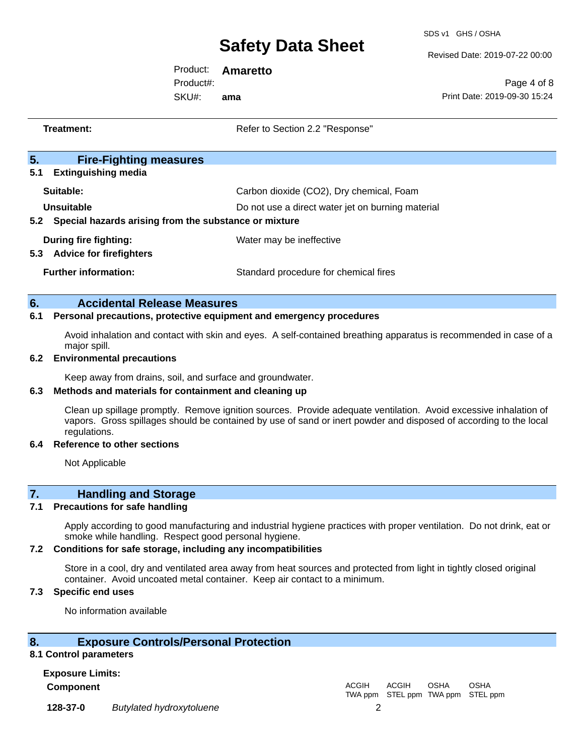SDS v1 GHS / OSHA

Revised Date: 2019-07-22 00:00

Product: **Amaretto**  Product#:

SKU#: **ama**

Page 4 of 8 Print Date: 2019-09-30 15:24

| Treatment: |                                                                                                                                   | Refer to Section 2.2 "Response"                   |
|------------|-----------------------------------------------------------------------------------------------------------------------------------|---------------------------------------------------|
| 5.         | <b>Fire-Fighting measures</b>                                                                                                     |                                                   |
| 5.1        | <b>Extinguishing media</b>                                                                                                        |                                                   |
|            | Suitable:                                                                                                                         | Carbon dioxide (CO2), Dry chemical, Foam          |
|            | Unsuitable                                                                                                                        | Do not use a direct water jet on burning material |
|            | 5.2 Special hazards arising from the substance or mixture                                                                         |                                                   |
|            | <b>During fire fighting:</b>                                                                                                      | Water may be ineffective                          |
|            | 5.3 Advice for firefighters                                                                                                       |                                                   |
|            | <b>Further information:</b>                                                                                                       | Standard procedure for chemical fires             |
|            |                                                                                                                                   |                                                   |
| 6.         | <b>Accidental Release Measures</b>                                                                                                |                                                   |
| 6.1        | Personal precautions, protective equipment and emergency procedures                                                               |                                                   |
|            | Avoid inhalation and contact with skin and eyes. A self-contained breathing apparatus is recommended in case of a<br>major spill. |                                                   |
| 6.2        | <b>Environmental precautions</b>                                                                                                  |                                                   |

Keep away from drains, soil, and surface and groundwater.

#### **6.3 Methods and materials for containment and cleaning up**

Clean up spillage promptly. Remove ignition sources. Provide adequate ventilation. Avoid excessive inhalation of vapors. Gross spillages should be contained by use of sand or inert powder and disposed of according to the local regulations.

#### **6.4 Reference to other sections**

Not Applicable

## **7. Handling and Storage**

#### **7.1 Precautions for safe handling**

Apply according to good manufacturing and industrial hygiene practices with proper ventilation. Do not drink, eat or smoke while handling. Respect good personal hygiene.

#### **7.2 Conditions for safe storage, including any incompatibilities**

Store in a cool, dry and ventilated area away from heat sources and protected from light in tightly closed original container. Avoid uncoated metal container. Keep air contact to a minimum.

#### **7.3 Specific end uses**

No information available

### **8. Exposure Controls/Personal Protection**

#### **8.1 Control parameters**

**Exposure Limits:**

**Component** ACGIH TWA ppm STEL ppm TWA ppm STEL ppm ACGIH **OSHA OSHA 128-37-0** *Butylated hydroxytoluene* 2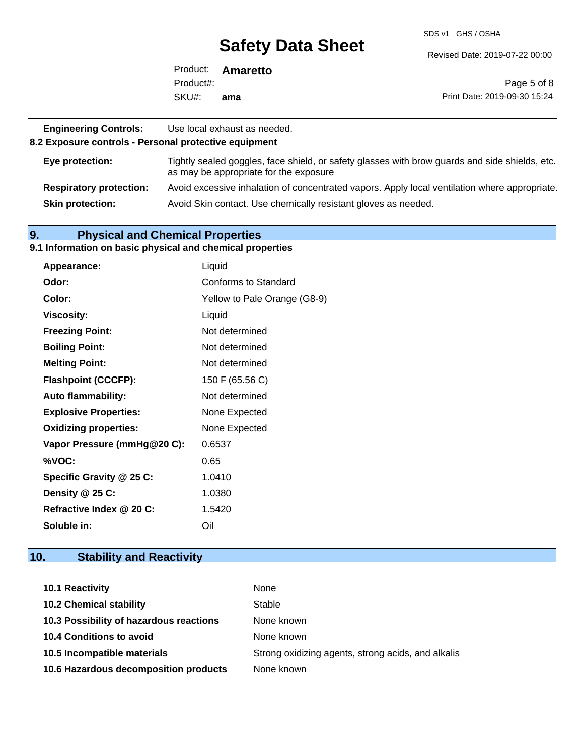SDS v1 GHS / OSHA

Revised Date: 2019-07-22 00:00

|           | Product: <b>Amaretto</b> |                              |
|-----------|--------------------------|------------------------------|
| Product#: |                          | Page 5 of 8                  |
| SKU#:     | ama                      | Print Date: 2019-09-30 15:24 |

| <b>Engineering Controls:</b><br>8.2 Exposure controls - Personal protective equipment | Use local exhaust as needed.                                                                                                             |
|---------------------------------------------------------------------------------------|------------------------------------------------------------------------------------------------------------------------------------------|
| Eye protection:                                                                       | Tightly sealed goggles, face shield, or safety glasses with brow guards and side shields, etc.<br>as may be appropriate for the exposure |
| <b>Respiratory protection:</b>                                                        | Avoid excessive inhalation of concentrated vapors. Apply local ventilation where appropriate.                                            |
| <b>Skin protection:</b>                                                               | Avoid Skin contact. Use chemically resistant gloves as needed.                                                                           |

### **9. Physical and Chemical Properties**

#### **9.1 Information on basic physical and chemical properties**

| Appearance:                  | Liquid                       |
|------------------------------|------------------------------|
| Odor:                        | Conforms to Standard         |
| Color:                       | Yellow to Pale Orange (G8-9) |
| <b>Viscosity:</b>            | Liquid                       |
| <b>Freezing Point:</b>       | Not determined               |
| <b>Boiling Point:</b>        | Not determined               |
| <b>Melting Point:</b>        | Not determined               |
| <b>Flashpoint (CCCFP):</b>   | 150 F (65.56 C)              |
| <b>Auto flammability:</b>    | Not determined               |
| <b>Explosive Properties:</b> | None Expected                |
| <b>Oxidizing properties:</b> | None Expected                |
| Vapor Pressure (mmHg@20 C):  | 0.6537                       |
| %VOC:                        | 0.65                         |
| Specific Gravity @ 25 C:     | 1.0410                       |
| Density @ 25 C:              | 1.0380                       |
| Refractive Index @ 20 C:     | 1.5420                       |
| Soluble in:                  | Oil                          |

# **10. Stability and Reactivity**

| <b>10.1 Reactivity</b>                  | None                                               |
|-----------------------------------------|----------------------------------------------------|
| <b>10.2 Chemical stability</b>          | Stable                                             |
| 10.3 Possibility of hazardous reactions | None known                                         |
| <b>10.4 Conditions to avoid</b>         | None known                                         |
| 10.5 Incompatible materials             | Strong oxidizing agents, strong acids, and alkalis |
| 10.6 Hazardous decomposition products   | None known                                         |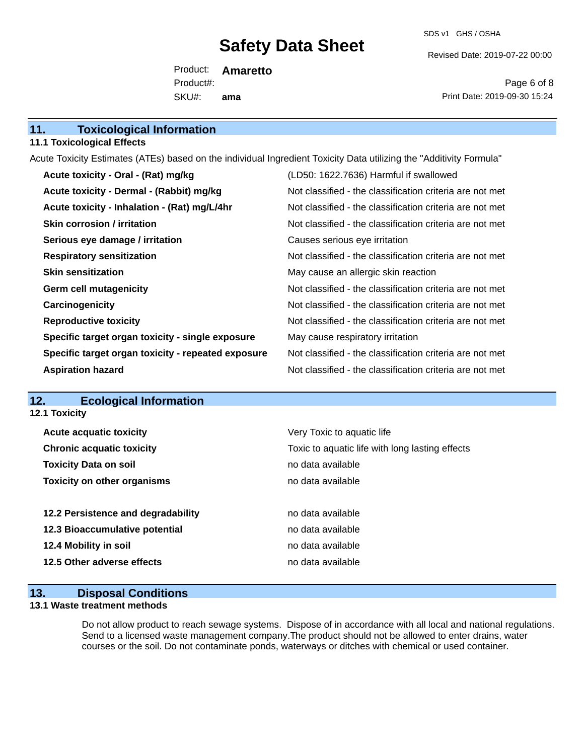SDS v1 GHS / OSHA

Revised Date: 2019-07-22 00:00

Product: **Amaretto**  SKU#: Product#: **ama**

Page 6 of 8 Print Date: 2019-09-30 15:24

| 11. | <b>Toxicological Information</b> |
|-----|----------------------------------|
|-----|----------------------------------|

#### **11.1 Toxicological Effects**

Acute Toxicity Estimates (ATEs) based on the individual Ingredient Toxicity Data utilizing the "Additivity Formula"

| Acute toxicity - Oral - (Rat) mg/kg                | (LD50: 1622.7636) Harmful if swallowed                   |
|----------------------------------------------------|----------------------------------------------------------|
| Acute toxicity - Dermal - (Rabbit) mg/kg           | Not classified - the classification criteria are not met |
| Acute toxicity - Inhalation - (Rat) mg/L/4hr       | Not classified - the classification criteria are not met |
| <b>Skin corrosion / irritation</b>                 | Not classified - the classification criteria are not met |
| Serious eye damage / irritation                    | Causes serious eye irritation                            |
| <b>Respiratory sensitization</b>                   | Not classified - the classification criteria are not met |
| <b>Skin sensitization</b>                          | May cause an allergic skin reaction                      |
| <b>Germ cell mutagenicity</b>                      | Not classified - the classification criteria are not met |
| Carcinogenicity                                    | Not classified - the classification criteria are not met |
| <b>Reproductive toxicity</b>                       | Not classified - the classification criteria are not met |
| Specific target organ toxicity - single exposure   | May cause respiratory irritation                         |
| Specific target organ toxicity - repeated exposure | Not classified - the classification criteria are not met |
| <b>Aspiration hazard</b>                           | Not classified - the classification criteria are not met |

# **12. Ecological Information**

**12.1 Toxicity**

| <b>Acute acquatic toxicity</b>     | Very Toxic to aquatic life                      |
|------------------------------------|-------------------------------------------------|
| <b>Chronic acquatic toxicity</b>   | Toxic to aquatic life with long lasting effects |
| <b>Toxicity Data on soil</b>       | no data available                               |
| <b>Toxicity on other organisms</b> | no data available                               |
|                                    |                                                 |
|                                    |                                                 |
| 12.2 Persistence and degradability | no data available                               |
| 12.3 Bioaccumulative potential     | no data available                               |
| 12.4 Mobility in soil              | no data available                               |
| 12.5 Other adverse effects         | no data available                               |

### **13. Disposal Conditions**

#### **13.1 Waste treatment methods**

Do not allow product to reach sewage systems. Dispose of in accordance with all local and national regulations. Send to a licensed waste management company.The product should not be allowed to enter drains, water courses or the soil. Do not contaminate ponds, waterways or ditches with chemical or used container.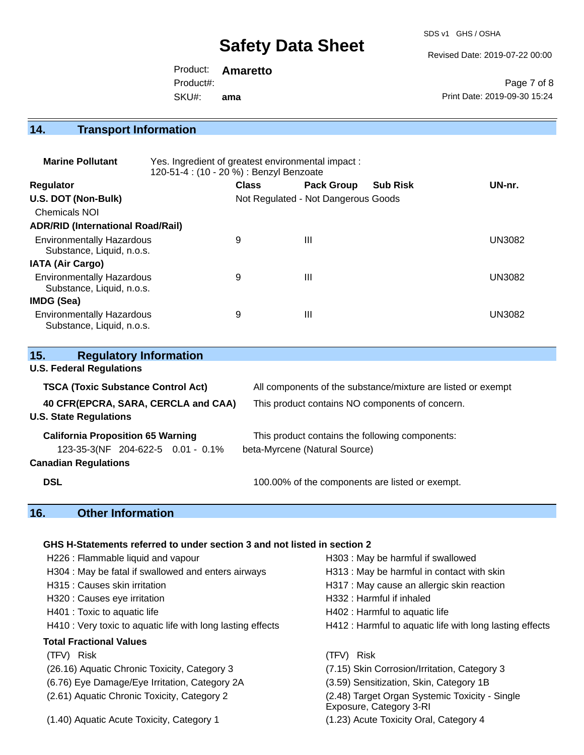SDS v1 GHS / OSHA

Revised Date: 2019-07-22 00:00

Product: **Amaretto**  SKU#: Product#: **ama**

Page 7 of 8 Print Date: 2019-09-30 15:24

# **14. Transport Information**

| <b>Marine Pollutant</b>                                       | Yes. Ingredient of greatest environmental impact:<br>120-51-4 : (10 - 20 %) : Benzyl Benzoate |              |                                     |                 |               |
|---------------------------------------------------------------|-----------------------------------------------------------------------------------------------|--------------|-------------------------------------|-----------------|---------------|
| <b>Regulator</b>                                              |                                                                                               | <b>Class</b> | <b>Pack Group</b>                   | <b>Sub Risk</b> | UN-nr.        |
| U.S. DOT (Non-Bulk)                                           |                                                                                               |              | Not Regulated - Not Dangerous Goods |                 |               |
| <b>Chemicals NOI</b>                                          |                                                                                               |              |                                     |                 |               |
| <b>ADR/RID (International Road/Rail)</b>                      |                                                                                               |              |                                     |                 |               |
| <b>Environmentally Hazardous</b><br>Substance, Liquid, n.o.s. |                                                                                               | 9            | Ш                                   |                 | <b>UN3082</b> |
| <b>IATA (Air Cargo)</b>                                       |                                                                                               |              |                                     |                 |               |
| <b>Environmentally Hazardous</b><br>Substance, Liquid, n.o.s. |                                                                                               | 9            | Ш                                   |                 | <b>UN3082</b> |
| <b>IMDG (Sea)</b>                                             |                                                                                               |              |                                     |                 |               |
| <b>Environmentally Hazardous</b><br>Substance, Liquid, n.o.s. |                                                                                               | 9            | Ш                                   |                 | UN3082        |

| 15.<br><b>Regulatory Information</b>      |                                                              |
|-------------------------------------------|--------------------------------------------------------------|
| <b>U.S. Federal Regulations</b>           |                                                              |
| <b>TSCA (Toxic Substance Control Act)</b> | All components of the substance/mixture are listed or exempt |
| 40 CFR(EPCRA, SARA, CERCLA and CAA)       | This product contains NO components of concern.              |
| <b>U.S. State Regulations</b>             |                                                              |
| <b>California Proposition 65 Warning</b>  | This product contains the following components:              |
| 123-35-3(NF 204-622-5 0.01 - 0.1%         | beta-Myrcene (Natural Source)                                |
| <b>Canadian Regulations</b>               |                                                              |
| <b>DSL</b>                                | 100.00% of the components are listed or exempt.              |

# **16. Other Information**

#### **GHS H-Statements referred to under section 3 and not listed in section 2**

| H226 : Flammable liquid and vapour                          | H303 : May be harmful if swallowed                                        |
|-------------------------------------------------------------|---------------------------------------------------------------------------|
| H304 : May be fatal if swallowed and enters airways         | H313: May be harmful in contact with skin                                 |
| H315 : Causes skin irritation                               | H317 : May cause an allergic skin reaction                                |
| H320 : Causes eye irritation                                | H332: Harmful if inhaled                                                  |
| H401 : Toxic to aquatic life                                | H402 : Harmful to aquatic life                                            |
| H410 : Very toxic to aquatic life with long lasting effects | H412 : Harmful to aquatic life with long lasting effects                  |
| <b>Total Fractional Values</b>                              |                                                                           |
| (TFV) Risk                                                  | (TFV) Risk                                                                |
| (26.16) Aquatic Chronic Toxicity, Category 3                | (7.15) Skin Corrosion/Irritation, Category 3                              |
| (6.76) Eye Damage/Eye Irritation, Category 2A               | (3.59) Sensitization, Skin, Category 1B                                   |
| (2.61) Aquatic Chronic Toxicity, Category 2                 | (2.48) Target Organ Systemic Toxicity - Single<br>Exposure, Category 3-RI |
| (1.40) Aquatic Acute Toxicity, Category 1                   | (1.23) Acute Toxicity Oral, Category 4                                    |
|                                                             |                                                                           |